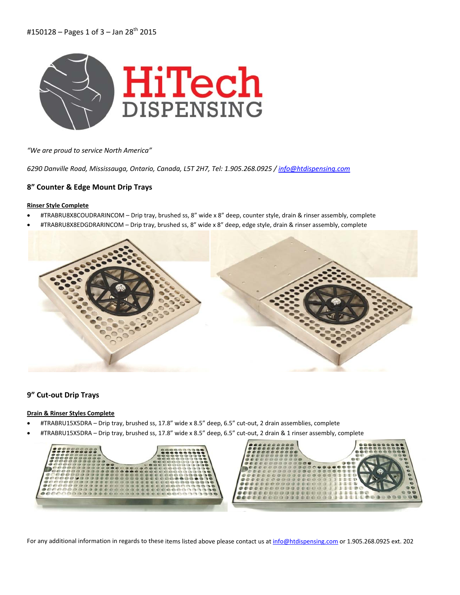

*"We are proud to service North America"*

*6290 Danville Road, Mississauga, Ontario, Canada, L5T 2H7, Tel: 1.905.268.0925 / info@htdispensing.com*

## **8" Counter & Edge Mount Drip Trays**

#### **Rinser Style Complete**

- #TRABRU8X8COUDRARINCOM Drip tray, brushed ss, 8" wide x 8" deep, counter style, drain & rinser assembly, complete
- #TRABRU8X8EDGDRARINCOM Drip tray, brushed ss, 8" wide x 8" deep, edge style, drain & rinser assembly, complete



## **9" Cut‐out Drip Trays**

## **Drain & Rinser Styles Complete**

- #TRABRU15X5DRA Drip tray, brushed ss, 17.8" wide x 8.5" deep, 6.5" cut‐out, 2 drain assemblies, complete
- #TRABRU15X5DRA Drip tray, brushed ss, 17.8" wide x 8.5" deep, 6.5" cut‐out, 2 drain & 1 rinser assembly, complete



For any additional information in regards to these items listed above please contact us at info@htdispensing.com or 1.905.268.0925 ext. 202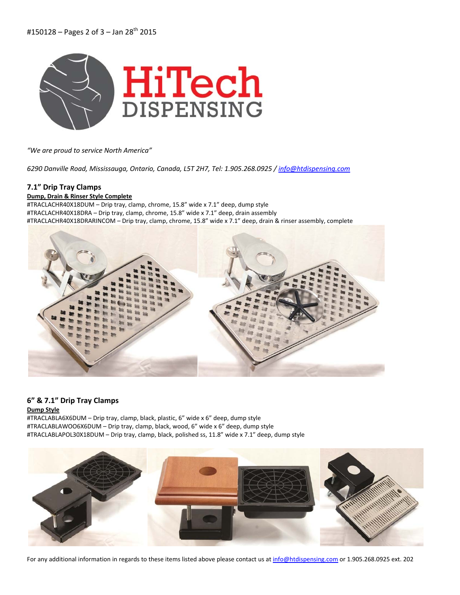

*"We are proud to service North America"*

*6290 Danville Road, Mississauga, Ontario, Canada, L5T 2H7, Tel: 1.905.268.0925 / info@htdispensing.com*

# **7.1" Drip Tray Clamps**

## **Dump, Drain & Rinser Style Complete**

#TRACLACHR40X18DUM – Drip tray, clamp, chrome, 15.8" wide x 7.1" deep, dump style #TRACLACHR40X18DRA – Drip tray, clamp, chrome, 15.8" wide x 7.1" deep, drain assembly #TRACLACHR40X18DRARINCOM – Drip tray, clamp, chrome, 15.8" wide x 7.1" deep, drain & rinser assembly, complete



# **6" & 7.1" Drip Tray Clamps**

## **Dump Style**

#TRACLABLA6X6DUM – Drip tray, clamp, black, plastic, 6" wide x 6" deep, dump style #TRACLABLAWOO6X6DUM – Drip tray, clamp, black, wood, 6" wide x 6" deep, dump style #TRACLABLAPOL30X18DUM – Drip tray, clamp, black, polished ss, 11.8" wide x 7.1" deep, dump style



For any additional information in regards to these items listed above please contact us at info@htdispensing.com or 1.905.268.0925 ext. 202